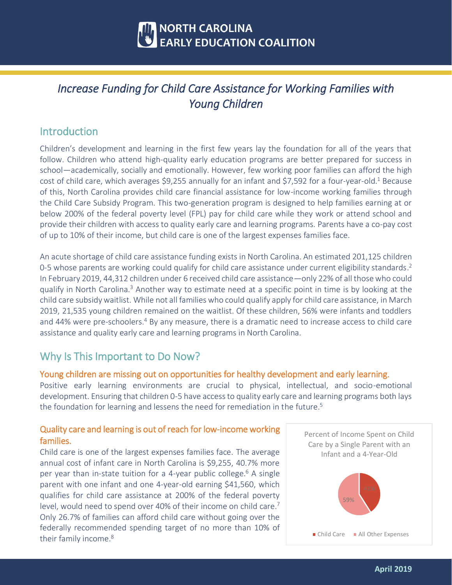

# *Increase Funding for Child Care Assistance for Working Families with Young Children*

## Introduction

Children's development and learning in the first few years lay the foundation for all of the years that follow. Children who attend high-quality early education programs are better prepared for success in school—academically, socially and emotionally. However, few working poor families can afford the high cost of child care, which averages \$9,255 annually for an infant and \$7,592 for a four-year-old.<sup>1</sup> Because of this, North Carolina provides child care financial assistance for low-income working families through the Child Care Subsidy Program. This two-generation program is designed to help families earning at or below 200% of the federal poverty level (FPL) pay for child care while they work or attend school and provide their children with access to quality early care and learning programs. Parents have a co-pay cost of up to 10% of their income, but child care is one of the largest expenses families face.

An acute shortage of child care assistance funding exists in North Carolina. An estimated 201,125 children 0-5 whose parents are working could qualify for child care assistance under current eligibility standards.<sup>2</sup> In February 2019, 44,312 children under 6 received child care assistance—only 22% of all those who could qualify in North Carolina.<sup>3</sup> Another way to estimate need at a specific point in time is by looking at the child care subsidy waitlist. While not all families who could qualify apply for child care assistance, in March 2019, 21,535 young children remained on the waitlist. Of these children, 56% were infants and toddlers and 44% were pre-schoolers.<sup>4</sup> By any measure, there is a dramatic need to increase access to child care assistance and quality early care and learning programs in North Carolina.

## Why Is This Important to Do Now?

### Young children are missing out on opportunities for healthy development and early learning.

Positive early learning environments are crucial to physical, intellectual, and socio-emotional development. Ensuring that children 0-5 have access to quality early care and learning programs both lays the foundation for learning and lessens the need for remediation in the future.<sup>5</sup>

## Quality care and learning is out of reach for low-income working families.

Child care is one of the largest expenses families face. The average annual cost of infant care in North Carolina is \$9,255, 40.7% more per year than in-state tuition for a 4-year public college.<sup>6</sup> A single parent with one infant and one 4-year-old earning \$41,560, which qualifies for child care assistance at 200% of the federal poverty level, would need to spend over 40% of their income on child care.<sup>7</sup> Only 26.7% of families can afford child care without going over the federally recommended spending target of no more than 10% of their family income.<sup>8</sup>

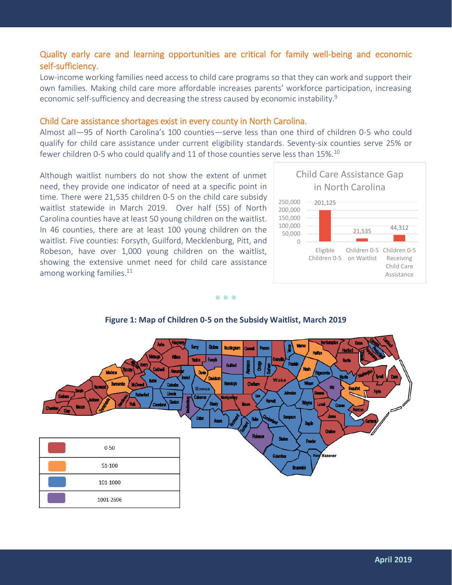## Quality early care and learning opportunities are critical for family well-being and economic self-sufficiency.

Low-income working families need access to child care programs so that they can work and support their own families. Making child care more affordable increases parents' workforce participation, increasing economic self-sufficiency and decreasing the stress caused by economic instability.<sup>9</sup>

#### Child Care assistance shortages exist in every county in North Carolina.

Almost all—95 of North Carolina's 100 counties—serve less than one third of children 0-5 who could qualify for child care assistance under current eligibility standards. Seventy-six counties serve 25% or fewer children 0-5 who could qualify and 11 of those counties serve less than 15%.<sup>10</sup>

Although waitlist numbers do not show the extent of unmet need, they provide one indicator of need at a specific point in time. There were 21,535 children 0-5 on the child care subsidy waitlist statewide in March 2019. Over half (55) of North Carolina counties have at least 50 young children on the waitlist. In 46 counties, there are at least 100 young children on the waitlist. Five counties: Forsyth, Guilford, Mecklenburg, Pitt, and Robeson, have over 1,000 young children on the waitlist, showing the extensive unmet need for child care assistance among working families.<sup>11</sup>



#### • • •



#### **Figure 1: Map of Children 0-5 on the Subsidy Waitlist, March 2019**